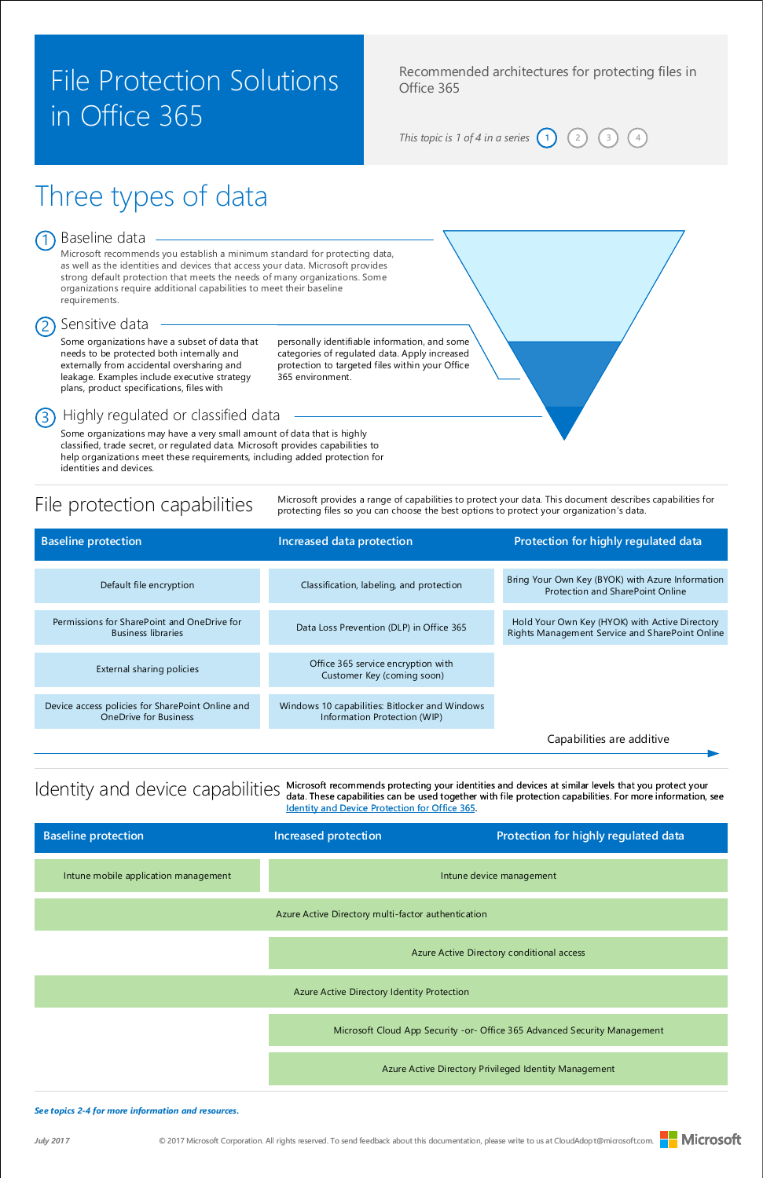[© 2017 Microsoft Corporation. All rights reserved. To send feedback about this documentation, please write to us at CloudAdopt@microsoft.com.](mailto:ITSPdocs@microsoft.com)



# Three types of data

### Baseline data

#### *See topics 2-4 for more information and resources.*

*July 2017*

Recommended architectures for protecting files in Office 365

*This topic is 1 of 4 in a series*  $\begin{pmatrix} 1 \end{pmatrix}$   $\begin{pmatrix} 2 \end{pmatrix}$ 

## File Protection Solutions in Office 365

Some organizations have a subset of data that needs to be protected both internally and externally from accidental oversharing and leakage. Examples include executive strategy plans, product specifications, files with

Microsoft recommends you establish a minimum standard for protecting data, as well as the identities and devices that access your data. Microsoft provides strong default protection that meets the needs of many organizations. Some organizations require additional capabilities to meet their baseline requirements.

### Sensitive data

personally identifiable information, and some categories of regulated data. Apply increased protection to targeted files within your Office 365 environment.

### 3) Highly regulated or classified data

Some organizations may have a very small amount of data that is highly classified, trade secret, or regulated data. Microsoft provides capabilities to help organizations meet these requirements, including added protection for identities and devices.

File protection capabilities Microsoft provides a range of capabilities to protect your data. This document describes capabilities for<br>File protection capabilities for<br>protecting files so you can choose the best options to protecting files so you can choose the best options to protect your organization's data.

Azure Active Directory multi-factor authentication

Azure Active Directory conditional access

Azure Active Directory Identity Protection

Microsoft recommends protecting your identities and devices at similar levels that you protect your [data. These capabilities can be used together with file protection capabilities. For more information, see](http://aka.ms/o365protect_device)  Identity and Device Protection for Office 365.

|  |  | Intune mobile application management |  |
|--|--|--------------------------------------|--|
|--|--|--------------------------------------|--|

Intune device management

| <b>Baseline protection</b>                                                       | Increased data protection                                                      | Protection for highly regulated data                                                              |
|----------------------------------------------------------------------------------|--------------------------------------------------------------------------------|---------------------------------------------------------------------------------------------------|
| Default file encryption                                                          | Classification, labeling, and protection                                       | Bring Your Own Key (BYOK) with Azure Information<br>Protection and SharePoint Online              |
| Permissions for SharePoint and OneDrive for<br><b>Business libraries</b>         | Data Loss Prevention (DLP) in Office 365                                       | Hold Your Own Key (HYOK) with Active Directory<br>Rights Management Service and SharePoint Online |
| External sharing policies                                                        | Office 365 service encryption with<br>Customer Key (coming soon)               |                                                                                                   |
| Device access policies for SharePoint Online and<br><b>OneDrive for Business</b> | Windows 10 capabilities: Bitlocker and Windows<br>Information Protection (WIP) |                                                                                                   |
|                                                                                  |                                                                                | Capabilities are additive                                                                         |

### Identity and device capabilities

```
4
```
Microsoft Cloud App Security -or- Office 365 Advanced Security Management

Azure Active Directory Privileged Identity Management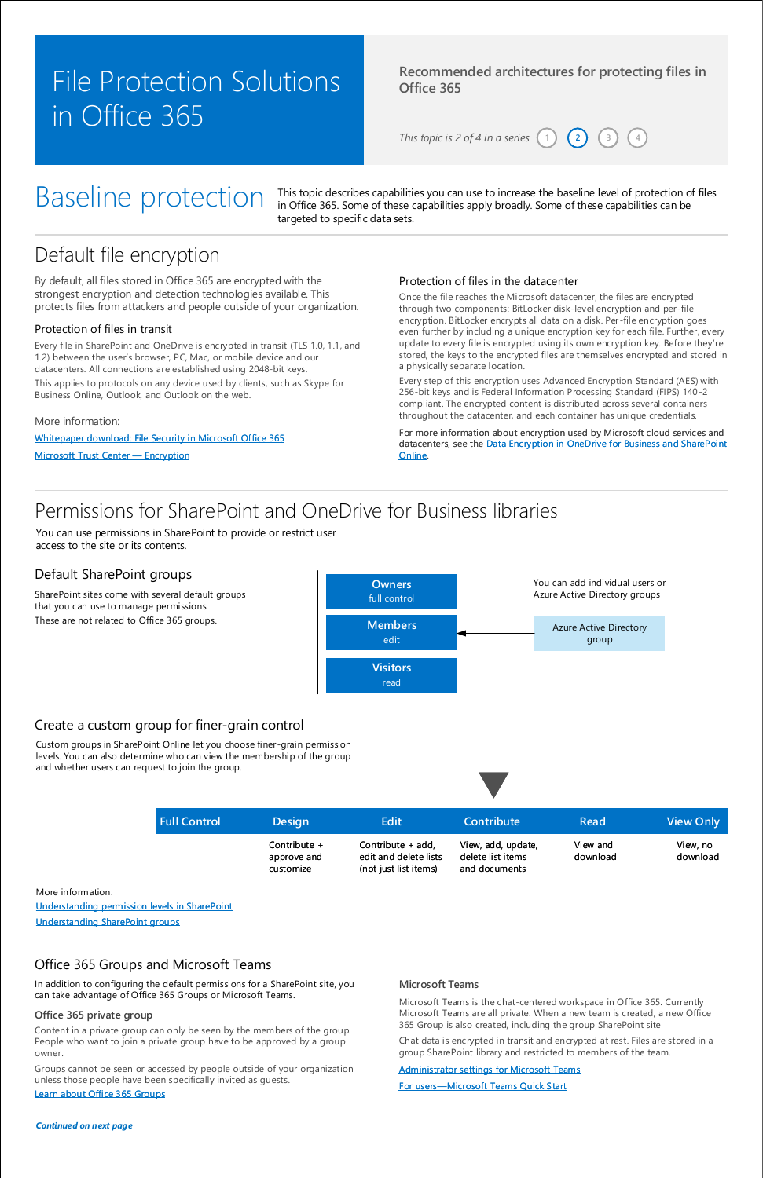# Baseline protection

### **Recommended architectures for protecting files in Office 365**

*This topic is 2 of 4 in a series*  $(1)$   $(2)$ 

# File Protection Solutions in Office 365

## Default file encryption

Once the file reaches the Microsoft datacenter, the files are encrypted through two components: BitLocker disk-level encryption and per-file encryption. BitLocker encrypts all data on a disk. Per -file encryption goes even further by including a unique encryption key for each file. Further, every update to every file is encrypted using its own encryption key. Before they're stored, the keys to the encrypted files are themselves encrypted and stored in a physically separate location.

Every step of this encryption uses Advanced Encryption Standard (AES) with 256-bit keys and is Federal Information Processing Standard (FIPS) 140-2 compliant. The encrypted content is distributed across several containers throughout the datacenter, and each container has unique credentials.

By default, all files stored in Office 365 are encrypted with the strongest encryption and detection technologies available. This protects files from attackers and people outside of your organization.

### Protection of files in transit

Every file in SharePoint and OneDrive is encrypted in transit (TLS 1.0, 1.1, and 1.2) between the user's browser, PC, Mac, or mobile device and our datacenters. All connections are established using 2048-bit keys.

This applies to protocols on any device used by clients, such as Skype for Business Online, Outlook, and Outlook on the web.

### Protection of files in the datacenter

For more information about encryption used by Microsoft cloud services and datacenters, see the Data Encryption in OneDrive for Business and SharePoint Online.

[Whitepaper download: File Security in Microsoft Office 365](http://aka.ms/odspsecuritywhitepaper)

More information:

[Microsoft Trust Center](https://www.microsoft.com/en-us/trustcenter/Security/Encryption#Microsoft_Office_365) — Encryption

**4**

## Permissions for SharePoint and OneDrive for Business libraries

You can use permissions in SharePoint to provide or restrict user access to the site or its contents.

### Default SharePoint groups

### Create a custom group for finer-grain control

SharePoint sites come with several default groups that you can use to manage permissions.



These are not related to Office 365 groups.

Custom groups in SharePoint Online let you choose finer-grain permission levels. You can also determine who can view the membership of the group and whether users can request to join the group.

[Understanding permission levels in SharePoint](https://support.office.com/en-US/article/Understanding-permission-levels-in-SharePoint-87ecbb0e-6550-491a-8826-c075e4859848)

[Understanding SharePoint groups](https://support.office.com/en-US/article/Understanding-SharePoint-groups-94d9b261-161e-4ace-829e-eca1c8cd2eb8)

More information:

*Continued on next page*

### Office 365 Groups and Microsoft Teams

In addition to configuring the default permissions for a SharePoint site, you can take advantage of Office 365 Groups or Microsoft Teams.

Content in a private group can only be seen by the members of the group. People who want to join a private group have to be approved by a group owner.

Groups cannot be seen or accessed by people outside of your organization unless those people have been specifically invited as guests.

#### **Office 365 private group**

Microsoft Teams is the chat-centered workspace in Office 365. Currently Microsoft Teams are all private. When a new team is created, a new Office 365 Group is also created, including the group SharePoint site

Chat data is encrypted in transit and encrypted at rest. Files are stored in a group SharePoint library and restricted to members of the team.

#### **Microsoft Teams**

#### [Administrator settings for Microsoft Teams](https://support.office.com/en-US/article/Administrator-settings-for-Microsoft-Teams-3966a3f5-7e0f-4ea9-a402-41888f455ba2)

[Learn about Office 365 Groups](https://support.office.com/en-US/article/Learn-about-Office-365-groups-b565caa1-5c40-40ef-9915-60fdb2d97fa2)

For users—[Microsoft Teams Quick Start](https://support.office.com/en-us/article/Microsoft-Teams-Quick-Start-422bf3aa-9ae8-46f1-83a2-e65720e1a34d?ui=en-US&rs=en-US&ad=US)

| <b>Full Control</b> | <b>Design</b> | <b>Edit</b>           | Contribute         | Read     | <b>View Only</b> |
|---------------------|---------------|-----------------------|--------------------|----------|------------------|
|                     | Contribute +  | Contribute + add,     | View, add, update, | View and | View, no         |
|                     | approve and   | edit and delete lists | delete list items  | download | download         |

and documents (not just list items)

customize

This topic describes capabilities you can use to increase the baseline level of protection of files in Office 365. Some of these capabilities apply broadly. Some of these capabilities can be targeted to specific data sets.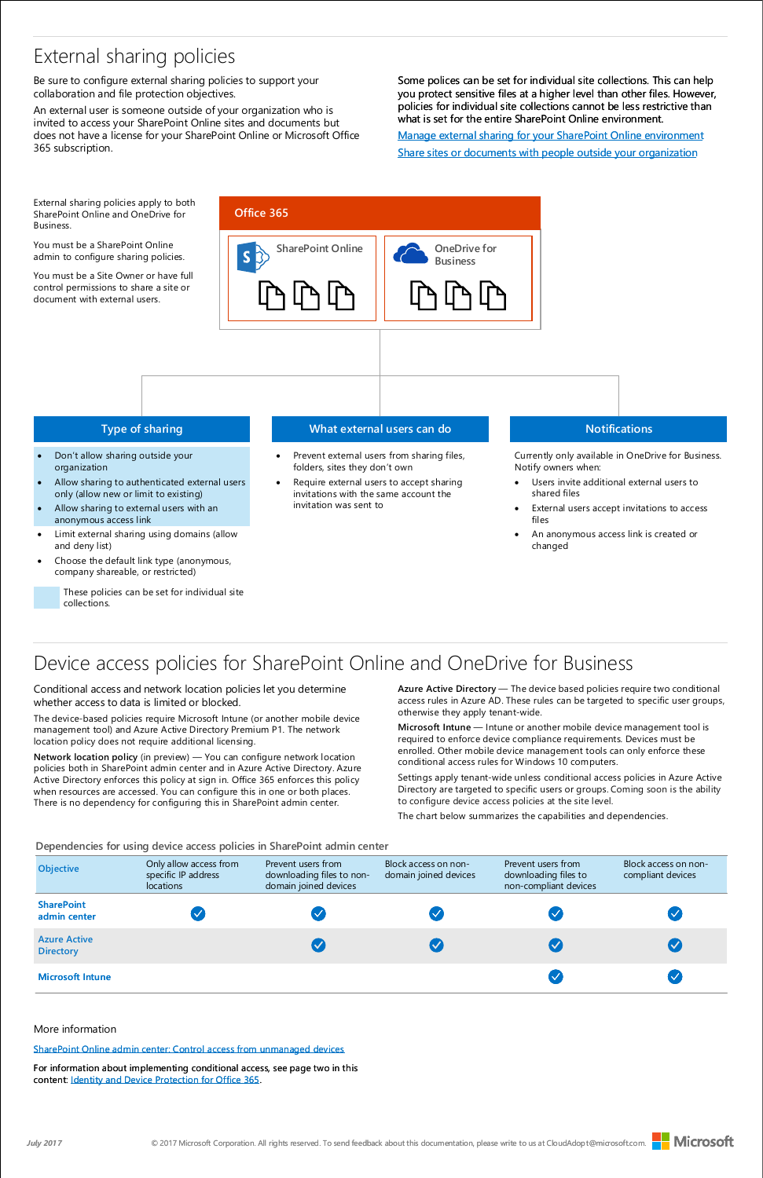### Device access policies for SharePoint Online and OneDrive for Business

Conditional access and network location policies let you determine whether access to data is limited or blocked.

The device-based policies require Microsoft Intune (or another mobile device management tool) and Azure Active Directory Premium P1. The network location policy does not require additional licensing.

**Network location policy** (in preview) — You can configure network location policies both in SharePoint admin center and in Azure Active Directory. Azure Active Directory enforces this policy at sign in. Office 365 enforces this policy when resources are accessed. You can configure this in one or both places. There is no dependency for configuring this in SharePoint admin center.

**Azure Active Directory** — The device based policies require two conditional access rules in Azure AD. These rules can be targeted to specific user groups, otherwise they apply tenant-wide.

**Microsoft Intune** — Intune or another mobile device management tool is required to enforce device compliance requirements. Devices must be enrolled. Other mobile device management tools can only enforce these conditional access rules for Windows 10 computers.

Settings apply tenant-wide unless conditional access policies in Azure Active Directory are targeted to specific users or groups. Coming soon is the ability to configure device access policies at the site level.

The chart below summarizes the capabilities and dependencies.

## External sharing policies

- Don't allow sharing outside your organization
- Allow sharing to authenticated external users only (allow new or limit to existing)
- Allow sharing to external users with an anonymous access link
- Limit external sharing using domains (allow and deny list)
- Choose the default link type (anonymous, company shareable, or restricted)

Be sure to configure external sharing policies to support your collaboration and file protection objectives.

- Prevent external users from sharing files, folders, sites they don't own
- Require external users to accept sharing invitations with the same account the invitation was sent to

An external user is someone outside of your organization who is invited to access your SharePoint Online sites and documents but does not have a license for your SharePoint Online or Microsoft Office 365 subscription.

- Users invite additional external users to shared files
- External users accept invitations to access files
- An anonymous access link is created or changed

| <b>Objective</b>                        | Only allow access from<br>specific IP address<br>locations | Prevent users from<br>downloading files to non-<br>domain joined devices | Block access on non-<br>domain joined devices | Prevent users from<br>downloading files to<br>non-compliant devices | Block access on non-<br>compliant devices |
|-----------------------------------------|------------------------------------------------------------|--------------------------------------------------------------------------|-----------------------------------------------|---------------------------------------------------------------------|-------------------------------------------|
| <b>SharePoint</b><br>admin center       |                                                            |                                                                          |                                               |                                                                     |                                           |
| <b>Azure Active</b><br><b>Directory</b> |                                                            |                                                                          |                                               |                                                                     |                                           |
| <b>Microsoft Intune</b>                 |                                                            |                                                                          |                                               |                                                                     |                                           |

Block access on non-

### **Type of sharing**

### **What external users can do**

### **Notifications**

Currently only available in OneDrive for Business. Notify owners when:

These policies can be set for individual site collections.

Some polices can be set for individual site collections. This can help [you protect sensitive files at a higher level than other files. However,](https://support.office.com/en-us/article/Manage-external-sharing-for-your-SharePoint-Online-environment-C8A462EB-0723-4B0B-8D0A-70FEAFE4BE85?ui=en-US&rs=en-US&ad=US)  policies for individual site collections cannot be less restrictive than what is set for the entire SharePoint Online environment.

[For information about implementing conditional access, see page two in this](http://aka.ms/o365protect_device)  content: Identity and Device Protection for Office 365.







External sharing policies apply to both SharePoint Online and OneDrive for Business.

You must be a SharePoint Online admin to configure sharing policies.

You must be a Site Owner or have full control permissions to share a site or document with external users.

[Manage external sharing for your SharePoint Online environment](https://support.office.com/en-us/article/Manage-external-sharing-for-your-SharePoint-Online-environment-C8A462EB-0723-4B0B-8D0A-70FEAFE4BE85?ui=en-US&rs=en-US&ad=US) [Share sites or documents with people outside your organization](https://support.office.com/en-US/article/Share-sites-or-documents-with-people-outside-your-organization-80e49744-e30f-44db-8d51-16661b1d4232) 

**Dependencies for using device access policies in SharePoint admin center**

[SharePoint Online admin center: Control access from unmanaged devices](https://support.office.com/en-us/article/Control-access-from-unmanaged-devices-5ae550c4-bd20-4257-847b-5c20fb053622?ui=en-US&rs=en-US&ad=US)

More information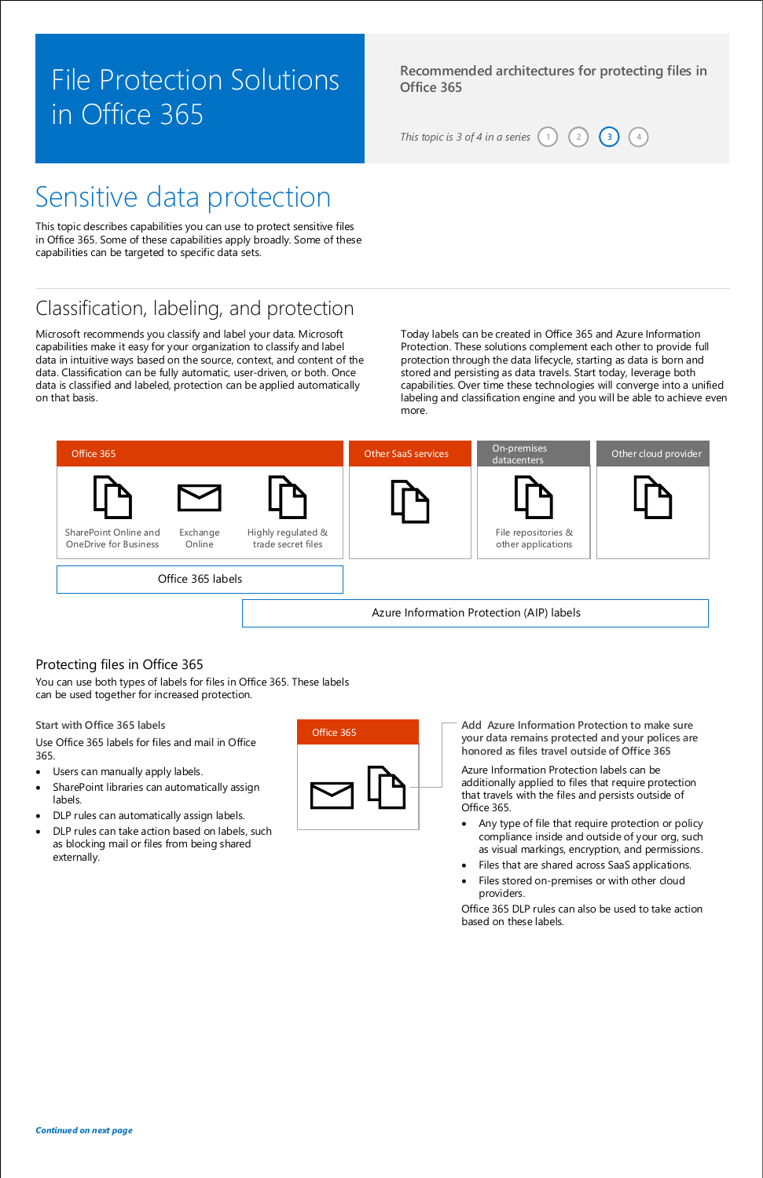**Recommended architectures for protecting files in Office 365**

*This topic is 3 of 4 in a series*  $(1)$   $(2)$ 

# File Protection Solutions in Office 365

# Sensitive data protection

*Continued on next page*

**2 4**

## Classification, labeling, and protection

Microsoft recommends you classify and label your data. Microsoft capabilities make it easy for your organization to classify and label data in intuitive ways based on the source, context, and content of the data. Classification can be fully automatic, user-driven, or both. Once data is classified and labeled, protection can be applied automatically on that basis.

Today labels can be created in Office 365 and Azure Information Protection. These solutions complement each other to provide full protection through the data lifecycle, starting as data is born and stored and persisting as data travels. Start today, leverage both capabilities. Over time these technologies will converge into a unified labeling and classification engine and you will be able to achieve even more.

### Protecting files in Office 365

Use Office 365 labels for files and mail in Office 365.

- Users can manually apply labels.
- SharePoint libraries can automatically assign labels.
- DLP rules can automatically assign labels.
- DLP rules can take action based on labels, such as blocking mail or files from being shared externally.

**Start with Office 365 labels**



Azure Information Protection labels can be additionally applied to files that require protection that travels with the files and persists outside of Office 365.

- Any type of file that require protection or policy compliance inside and outside of your org, such as visual markings, encryption, and permissions.
- Files that are shared across SaaS applications.
- 
- Files stored on-premises or with other cloud providers.

Office 365 DLP rules can also be used to take action based on these labels.

**Add Azure Information Protection to make sure your data remains protected and your polices are honored as files travel outside of Office 365**



You can use both types of labels for files in Office 365. These labels can be used together for increased protection.

This topic describes capabilities you can use to protect sensitive files in Office 365. Some of these capabilities apply broadly. Some of these capabilities can be targeted to specific data sets.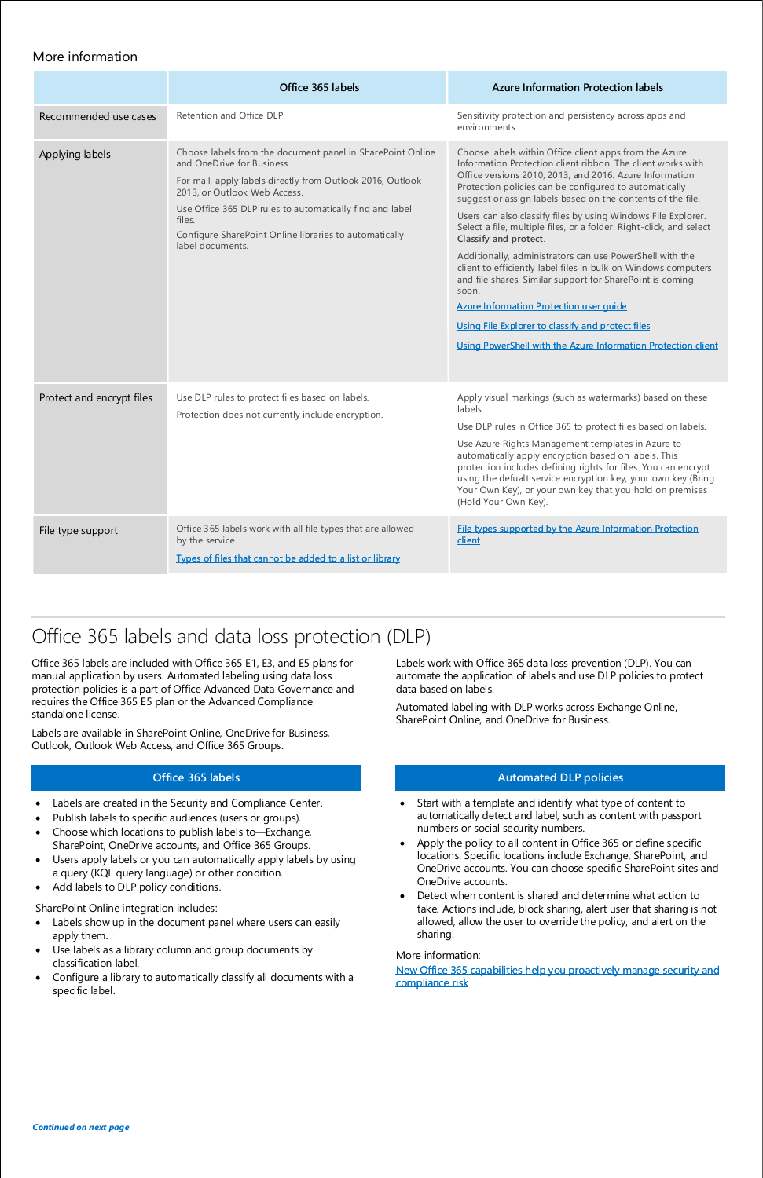## Office 365 labels and data loss protection (DLP)

Office 365 labels are included with Office 365 E1, E3, and E5 plans for manual application by users. Automated labeling using data loss protection policies is a part of Office Advanced Data Governance and requires the Office 365 E5 plan or the Advanced Compliance standalone license.

Labels are available in SharePoint Online, OneDrive for Business, Outlook, Outlook Web Access, and Office 365 Groups.

### **Automated DLP policies**

- Labels are created in the Security and Compliance Center.
- Publish labels to specific audiences (users or groups).
- Choose which locations to publish labels to—Exchange, SharePoint, OneDrive accounts, and Office 365 Groups.
- Users apply labels or you can automatically apply labels by using
- Start with a template and identify what type of content to automatically detect and label, such as content with passport numbers or social security numbers.
- Apply the policy to all content in Office 365 or define specific locations. Specific locations include Exchange, SharePoint, and OneDrive accounts. You can choose specific SharePoint sites and OneDrive accounts.
- a query (KQL query language) or other condition.
- Add labels to DLP policy conditions.

### **Office 365 labels**

- Labels show up in the document panel where users can easily apply them.
- Use labels as a library column and group documents by classification label.
- Configure a library to automatically classify all documents with a specific label.
- Detect when content is shared and determine what action to take. Actions include, block sharing, alert user that sharing is not allowed, allow the user to override the policy, and alert on the sharing.

SharePoint Online integration includes:

Labels work with Office 365 data loss prevention (DLP). You can automate the application of labels and use DLP policies to protect data based on labels.

Automated labeling with DLP works across Exchange Online, SharePoint Online, and OneDrive for Business.

[New Office 365 capabilities help you proactively manage security and](https://blogs.office.com/2017/02/10/new-office-365-capabilities-helps-you-proactively-manage-security-and-compliance-risk/)  compliance risk

More information:

*Continued on next page*

|                           | Office 365 labels                                                                                                                                                                                                                                                                                                                          | <b>Azure Information Protection labels</b>                                                                                                                                                                                                                                                                                                                                                                                                                                                                                                                                                                                                                                                                                                                                                                                                             |
|---------------------------|--------------------------------------------------------------------------------------------------------------------------------------------------------------------------------------------------------------------------------------------------------------------------------------------------------------------------------------------|--------------------------------------------------------------------------------------------------------------------------------------------------------------------------------------------------------------------------------------------------------------------------------------------------------------------------------------------------------------------------------------------------------------------------------------------------------------------------------------------------------------------------------------------------------------------------------------------------------------------------------------------------------------------------------------------------------------------------------------------------------------------------------------------------------------------------------------------------------|
| Recommended use cases     | Retention and Office DLP.                                                                                                                                                                                                                                                                                                                  | Sensitivity protection and persistency across apps and<br>environments.                                                                                                                                                                                                                                                                                                                                                                                                                                                                                                                                                                                                                                                                                                                                                                                |
| Applying labels           | Choose labels from the document panel in SharePoint Online<br>and OneDrive for Business.<br>For mail, apply labels directly from Outlook 2016, Outlook<br>2013, or Outlook Web Access.<br>Use Office 365 DLP rules to automatically find and label<br>files.<br>Configure SharePoint Online libraries to automatically<br>label documents. | Choose labels within Office client apps from the Azure<br>Information Protection client ribbon. The client works with<br>Office versions 2010, 2013, and 2016. Azure Information<br>Protection policies can be configured to automatically<br>suggest or assign labels based on the contents of the file.<br>Users can also classify files by using Windows File Explorer.<br>Select a file, multiple files, or a folder. Right-click, and select<br>Classify and protect.<br>Additionally, administrators can use PowerShell with the<br>client to efficiently label files in bulk on Windows computers<br>and file shares. Similar support for SharePoint is coming<br>soon.<br><b>Azure Information Protection user quide</b><br>Using File Explorer to classify and protect files<br>Using PowerShell with the Azure Information Protection client |
| Protect and encrypt files | Use DLP rules to protect files based on labels.<br>Protection does not currently include encryption.                                                                                                                                                                                                                                       | Apply visual markings (such as watermarks) based on these<br>labels.<br>Use DLP rules in Office 365 to protect files based on labels.<br>Use Azure Rights Management templates in Azure to<br>automatically apply encryption based on labels. This<br>protection includes defining rights for files. You can encrypt<br>using the defualt service encryption key, your own key (Bring<br>Your Own Key), or your own key that you hold on premises<br>(Hold Your Own Key).                                                                                                                                                                                                                                                                                                                                                                              |
| File type support         | Office 365 labels work with all file types that are allowed<br>by the service.<br>Types of files that cannot be added to a list or library                                                                                                                                                                                                 | File types supported by the Azure Information Protection<br>client                                                                                                                                                                                                                                                                                                                                                                                                                                                                                                                                                                                                                                                                                                                                                                                     |

### More information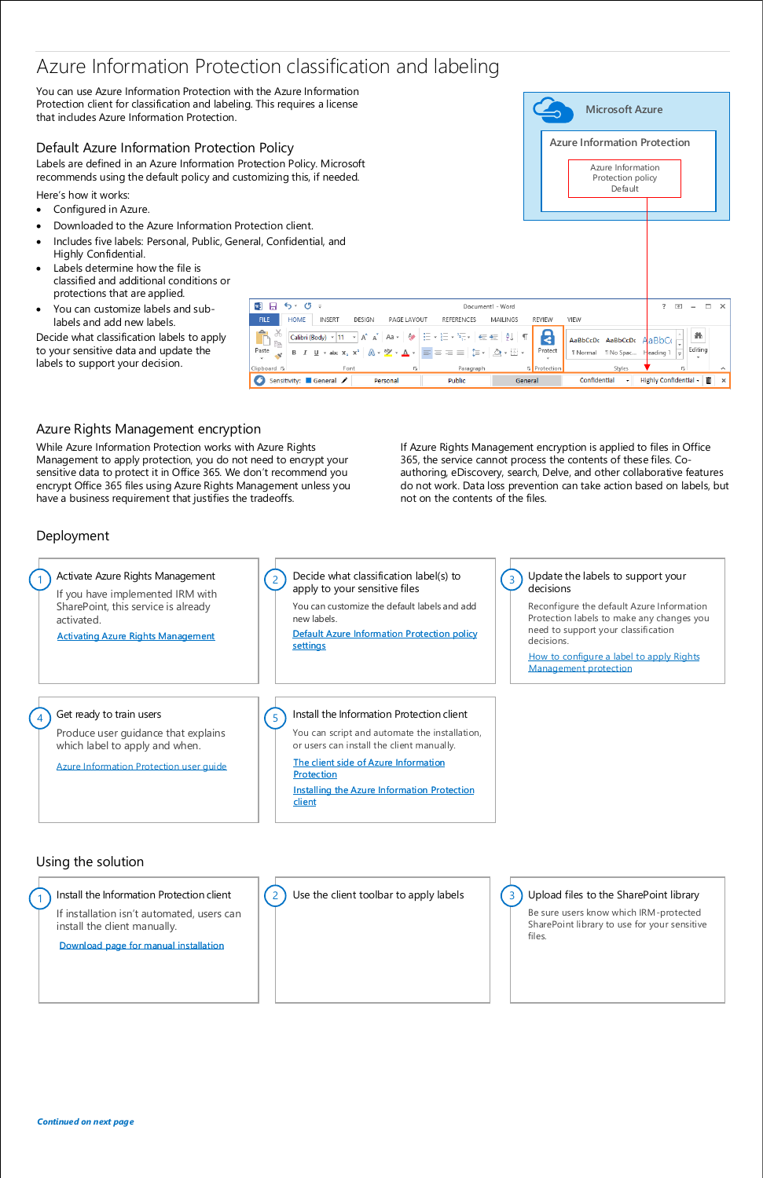### Azure Information Protection classification and labeling

Default Azure Information Protection Policy Labels are defined in an Azure Information Pro

recommends using the default policy and cust

Here's how it works:

You can use Azure Information Protection with the Azure Information Protection client for classification and labeling. This requires a license that includes Azure Information Protection.

- Configured in Azure.
- Downloaded to the Azure Information Protection
- Includes five labels: Personal, Public, Gene Highly Confidential.
- Labels determine how the file is classified and additional conditions or protections that are applied.
- You can customize labels and sublabels and add new labels.

Decide what classification labels to apply to your sensitive data and update the labels to support your decision.

> If installation isn't automated, users can install the client manually.

files. Be sure users know which IRM-protected SharePoint library to use for your sensitive

### Deployment

### Azure Rights Management encryption

While Azure Information Protection works with Azure Rights Management to apply protection, you do not need to encrypt your sensitive data to protect it in Office 365. We don't recommend you encrypt Office 365 files using Azure Rights Management unless you have a business requirement that justifies the tradeoffs.

| otection Policy. Microsoft<br>tomizing this, if needed.                                                                                                                                                                                                                                                                                                                                                                                                                                                                                                                                                                                                                                     |                     | Azure Information<br>Protection policy<br>Default    |                                          |        |
|---------------------------------------------------------------------------------------------------------------------------------------------------------------------------------------------------------------------------------------------------------------------------------------------------------------------------------------------------------------------------------------------------------------------------------------------------------------------------------------------------------------------------------------------------------------------------------------------------------------------------------------------------------------------------------------------|---------------------|------------------------------------------------------|------------------------------------------|--------|
| ptection client.<br>eral, Confidential, and                                                                                                                                                                                                                                                                                                                                                                                                                                                                                                                                                                                                                                                 |                     |                                                      |                                          |        |
| w∃<br>ত<br>н<br>↽<br>Document1 - Word<br>$\overline{\mathbf{v}}$<br>$\equiv$                                                                                                                                                                                                                                                                                                                                                                                                                                                                                                                                                                                                                |                     |                                                      | 闲                                        | п<br>× |
| <b>HOME</b><br><b>FILE</b><br><b>INSERT</b><br>DESIGN<br>PAGE LAYOUT<br><b>REFERENCES</b><br>MAILINGS                                                                                                                                                                                                                                                                                                                                                                                                                                                                                                                                                                                       | <b>REVIEW</b>       | VIEW                                                 |                                          |        |
| X<br>Δ,<br>Calibri (Body) $\sqrt{11}$ $\sqrt{A}$ $\overline{A}$ av $\left  \overline{A} \right $ = $\frac{1}{2}$ $\sqrt{\frac{1}{2}}$ $\sqrt{\frac{1}{2}}$ $\sqrt{\frac{1}{2}}$ $\sqrt{\frac{1}{2}}$ $\sqrt{\frac{1}{2}}$ $\sqrt{\frac{1}{2}}$ $\sqrt{\frac{1}{2}}$<br>$\Box$<br>Ē<br><b>B</b> $I$ $\underline{\mathsf{U}}$ $\downarrow$ abs $\mathsf{x}_2$ $\mathsf{x}^2$ $\uparrow$ $\underline{\mathsf{A}}$ $\downarrow$ $\underline{\mathsf{W}}$ $\downarrow$ $\underline{\mathsf{A}}$ $\downarrow$ $\uparrow$ $\underline{\mathsf{E}}$ $\uparrow$ $\underline{\mathsf{E}}$ $\uparrow$ $\underline{\mathsf{H}}$ $\underline{\mathsf{H}}$ $\underline{\mathsf{M}}$ $\downarrow$<br>Paste | 8<br>Protect        | AaBbCcDc<br>AaBbCcDc<br>T No Spac<br><b>T</b> Normal | 譱<br>$A$ a $BbC$<br>Editing<br>Heading 1 |        |
| Clipboard <sub>IS</sub><br>Paragraph<br>Font<br>履                                                                                                                                                                                                                                                                                                                                                                                                                                                                                                                                                                                                                                           | <b>G</b> Protection | Styles                                               | 履                                        | ㅅ      |
| Sensitivity: General<br>Public<br>Personal                                                                                                                                                                                                                                                                                                                                                                                                                                                                                                                                                                                                                                                  | General             | Confidential<br>۰                                    | Highly Confidential -                    | Ò<br>× |

### Using the solution



Install the Information Protection client

[Download page for manual installation](https://www.microsoft.com/en-us/download/details.aspx?id=53018)





### 3 Upload files to the SharePoint library

If Azure Rights Management encryption is applied to files in Office 365, the service cannot process the contents of these files. Coauthoring, eDiscovery, search, Delve, and other collaborative features do not work. Data loss prevention can take action based on labels, but not on the contents of the files.

**Microsoft Azure**

**Azure Information Protection**

*Continued on next page*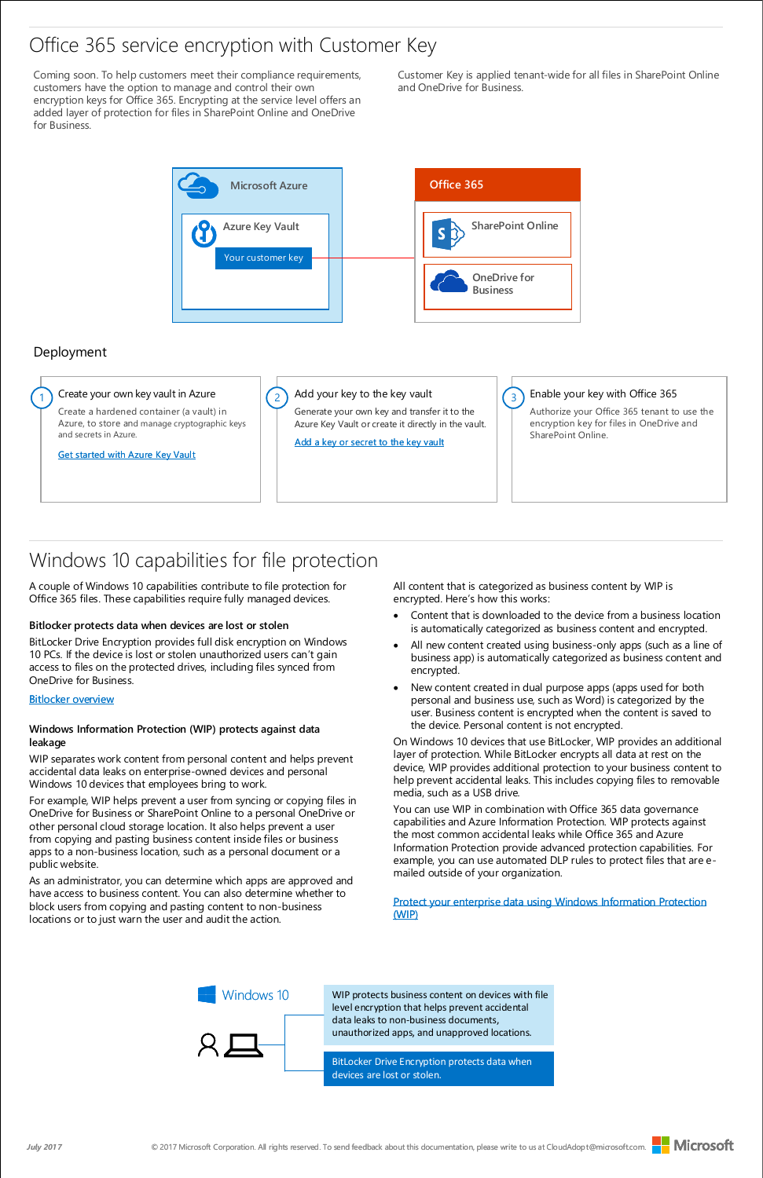### Office 365 service encryption with Customer Key

Coming soon. To help customers meet their compliance requirements, customers have the option to manage and control their own encryption keys for Office 365. Encrypting at the service level offers an added layer of protection for files in SharePoint Online and OneDrive for Business.

Customer Key is applied tenant-wide for all files in SharePoint Online and OneDrive for Business.

All content that is categorized as business content by WIP is encrypted. Here's how this works:





### Deployment

## Windows 10 capabilities for file protection

A couple of Windows 10 capabilities contribute to file protection for Office 365 files. These capabilities require fully managed devices.

- Content that is downloaded to the device from a business location is automatically categorized as business content and encrypted.
- All new content created using business-only apps (such as a line of business app) is automatically categorized as business content and encrypted.
- New content created in dual purpose apps (apps used for both personal and business use, such as Word) is categorized by the user. Business content is encrypted when the content is saved to the device. Personal content is not encrypted.

On Windows 10 devices that use BitLocker, WIP provides an additional layer of protection. While BitLocker encrypts all data at rest on the device, WIP provides additional protection to your business content to help prevent accidental leaks. This includes copying files to removable media, such as a USB drive.

You can use WIP in combination with Office 365 data governance capabilities and Azure Information Protection. WIP protects against the most common accidental leaks while Office 365 and Azure Information Protection provide advanced protection capabilities. For example, you can use automated DLP rules to protect files that are e-

mailed outside of your organization.

### **Bitlocker protects data when devices are lost or stolen**

BitLocker Drive Encryption provides full disk encryption on Windows 10 PCs. If the device is lost or stolen unauthorized users can't gain access to files on the protected drives, including files synced from OneDrive for Business.

### **[Bitlocker overview](https://technet.microsoft.com/en-us/itpro/windows/keep-secure/bitlocker-overview)**

### **Windows Information Protection (WIP) protects against data leakage**

WIP separates work content from personal content and helps prevent accidental data leaks on enterprise-owned devices and personal Windows 10 devices that employees bring to work.

For example, WIP helps prevent a user from syncing or copying files in OneDrive for Business or SharePoint Online to a personal OneDrive or other personal cloud storage location. It also helps prevent a user from copying and pasting business content inside files or business apps to a non-business location, such as a personal document or a public website.

As an administrator, you can determine which apps are approved and have access to business content. You can also determine whether to block users from copying and pasting content to non-business locations or to just warn the user and audit the action.

### [Protect your enterprise data using Windows Information Protection](https://technet.microsoft.com/en-us/itpro/windows/keep-secure/protect-enterprise-data-using-wip)  (WIP)

WIP protects business content on devices with file level encryption that helps prevent accidental data leaks to non-business documents, unauthorized apps, and unapproved locations.

BitLocker Drive Encryption protects data when devices are lost or stolen.

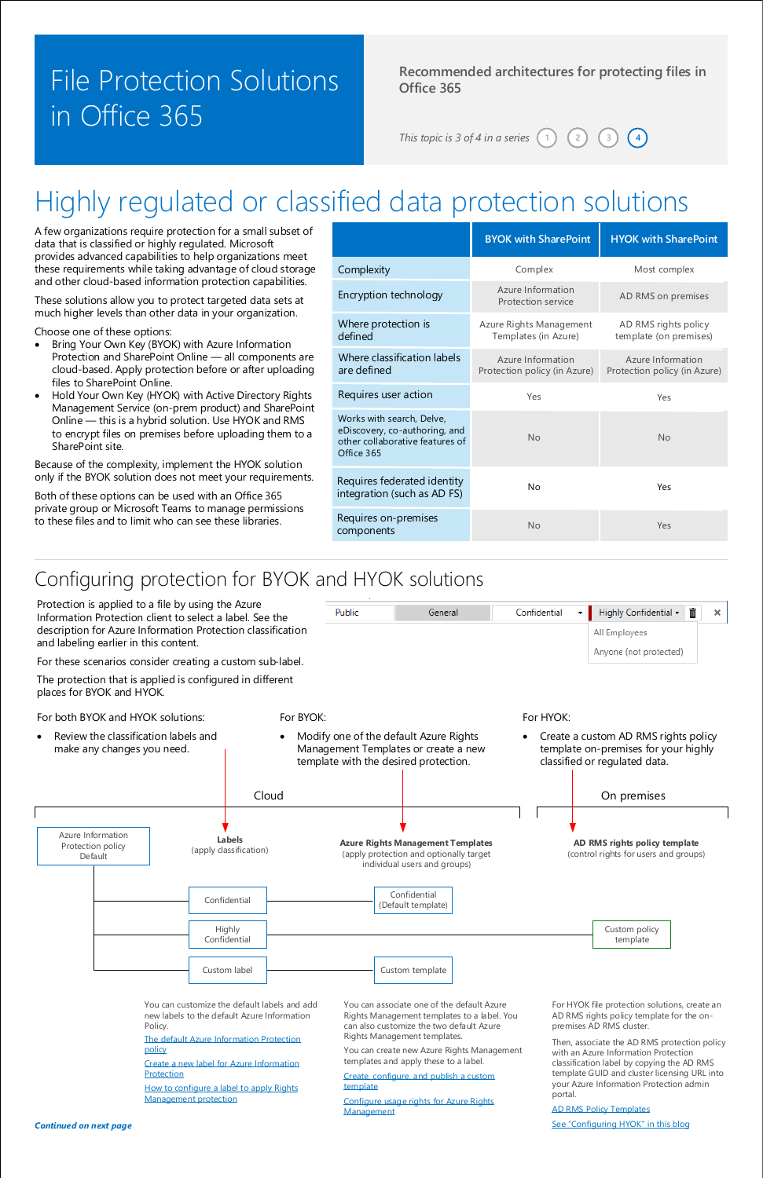### **Recommended architectures for protecting files in Office 365**

*This topic is 3 of 4 in a series*  $(1)$  $(2)$ 

# File Protection Solutions in Office 365

# Highly regulated or classified data protection solutions

A few organizations require protection for a small subset of data that is classified or highly regulated. Microsoft provides advanced capabilities to help organizations meet these requirements while taking advantage of cloud storage and other cloud-based information protection capabilities.

- Bring Your Own Key (BYOK) with Azure Information Protection and SharePoint Online — all components are cloud-based. Apply protection before or after uploading files to SharePoint Online.
- Hold Your Own Key (HYOK) with Active Directory Rights Management Service (on-prem product) and SharePoint Online — this is a hybrid solution. Use HYOK and RMS to encrypt files on premises before uploading them to a SharePoint site.

These solutions allow you to protect targeted data sets at much higher levels than other data in your organization.

Choose one of these options:

Because of the complexity, implement the HYOK solution only if the BYOK solution does not meet your requirements.

Both of these options can be used with an Office 365 private group or Microsoft Teams to manage permissions to these files and to limit who can see these libraries.

> [How to configure a label to apply Rights](https://docs.microsoft.com/en-us/information-protection/deploy-use/configure-policy-protection) template Management protection

|                                                                                                             | <b>BYOK with SharePoint</b>                       | <b>HYOK with SharePoint</b>                       |
|-------------------------------------------------------------------------------------------------------------|---------------------------------------------------|---------------------------------------------------|
| Complexity                                                                                                  | Complex                                           | Most complex                                      |
| Encryption technology                                                                                       | Azure Information<br>Protection service           | AD RMS on premises                                |
| Where protection is<br>defined                                                                              | Azure Rights Management<br>Templates (in Azure)   | AD RMS rights policy<br>template (on premises)    |
| Where classification labels<br>are defined                                                                  | Azure Information<br>Protection policy (in Azure) | Azure Information<br>Protection policy (in Azure) |
| Requires user action                                                                                        | Yes                                               | Yes                                               |
| Works with search, Delve,<br>eDiscovery, co-authoring, and<br>other collaborative features of<br>Office 365 | No                                                | <b>No</b>                                         |
| Requires federated identity<br>integration (such as AD FS)                                                  | No                                                | Yes                                               |
| Requires on-premises<br>components                                                                          | No                                                | Yes                                               |

*Continued on next page*

## Configuring protection for BYOK and HYOK solutions

You can associate one of the default Azure Rights Management templates to a label. You can also customize the two default Azure Rights Management templates.

You can create new Azure Rights Management templates and apply these to a label.

[Configure usage rights for Azure Rights](https://docs.microsoft.com/en-us/information-protection/deploy-use/configure-usage-rights)  Management

[Create, configure, and publish a custom](https://docs.microsoft.com/en-us/information-protection/deploy-use/create-template) 

You can customize the default labels and add new labels to the default Azure Information Policy.

For HYOK file protection solutions, create an AD RMS rights policy template for the onpremises AD RMS cluster.



Then, associate the AD RMS protection policy with an Azure Information Protection classification label by copying the AD RMS template GUID and cluster licensing URL into your Azure Information Protection admin portal.

[The default Azure Information Protection](https://docs.microsoft.com/en-us/information-protection/deploy-use/configure-policy-default)  policy

[Create a new label for Azure Information](https://docs.microsoft.com/en-us/information-protection/deploy-use/configure-policy-new-label)  Protection

#### [AD RMS Policy Templates](https://technet.microsoft.com/library/ee221094)

See "Configuring HYOK" in this blog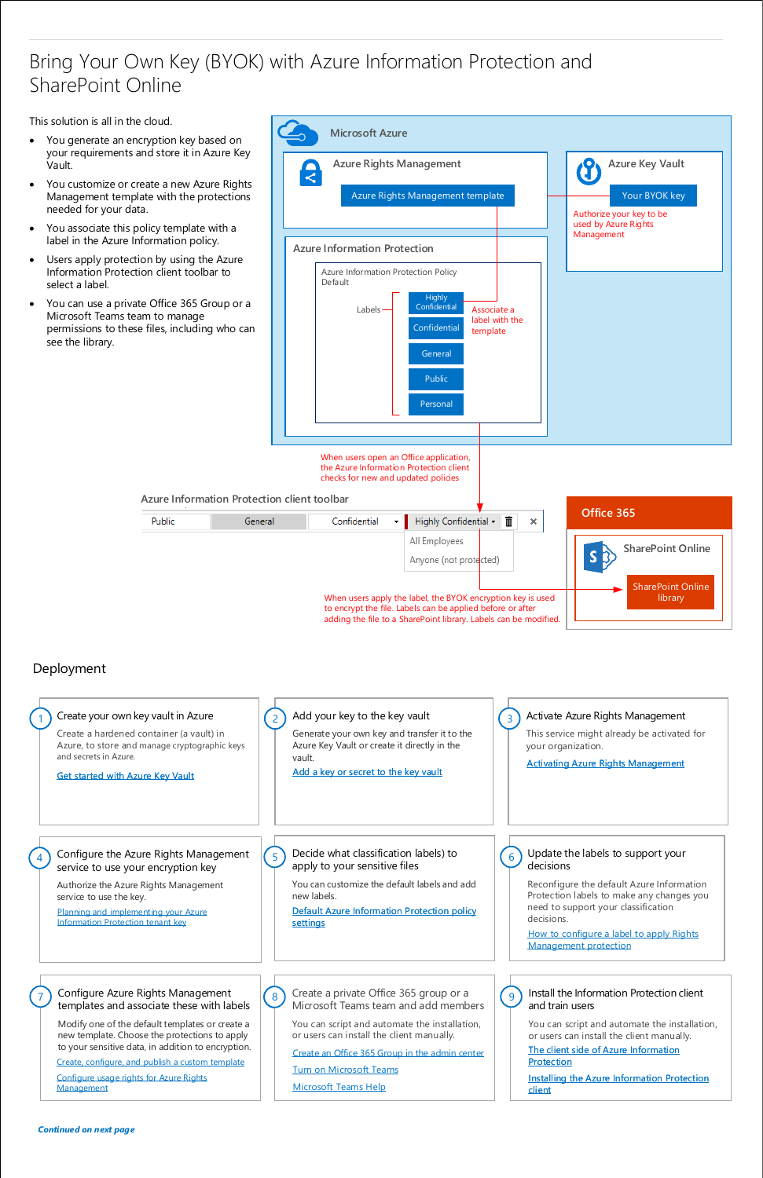#### Install the Information Protection client and train users

[The client side of Azure Information](https://docs.microsoft.com/en-us/information-protection/rms-client/use-client)  **Protection** 

You can script and automate the installation, or users can install the client manually.

[Installing the Azure Information Protection](https://docs.microsoft.com/en-us/information-protection/rms-client/info-protect-client)  client

### Deployment

[Default Azure Information Protection policy](https://docs.microsoft.com/en-us/information-protection/deploy-use/configure-policy-default)  **settings** 

apply to your sensitive files

You can customize the default labels and add new labels.

Update the labels to support your

#### decisions

Reconfigure the default Azure Information Protection labels to make any changes you need to support your classification decisions.

[How to configure a label to apply Rights](https://docs.microsoft.com/en-us/information-protection/deploy-use/configure-policy-protection)  Management protection



Create a private Office 365 group or a Microsoft Teams team and add members

You can script and automate the installation, or users can install the client manually.

[Create an Office 365 Group in the admin center](https://support.office.com/en-US/article/Create-an-Office-365-Group-in-the-admin-center-74a1ef8b-3844-4d08-9980-9f8f7a36000f?ui=en-US&rs=en-US&ad=US)

[Turn on Microsoft Teams](https://support.office.com/en-US/article/Administrator-settings-for-Microsoft-Teams-3966a3f5-7e0f-4ea9-a402-41888f455ba2)

[Microsoft Teams Help](https://support.office.com/en-US/article/Microsoft-Teams-Help-23156c0c-2c6e-49dd-8b7b-7c564b76508c)



8

Configure Azure Rights Management templates and associate these with labels



Modify one of the default templates or create a new template. Choose the protections to apply to your sensitive data, in addition to encryption.

7

[Configure usage rights for Azure Rights](https://docs.microsoft.com/en-us/information-protection/deploy-use/configure-usage-rights)  Management

[Create, configure, and publish a custom template](https://docs.microsoft.com/en-us/information-protection/deploy-use/create-template)

Configure the Azure Rights Management

 $\begin{bmatrix} 5 \end{bmatrix}$  Decide what classification labels) to  $\begin{bmatrix} 6 \end{bmatrix}$ 

#### service to use your encryption key

Authorize the Azure Rights Management service to use the key.

4

[Planning and implementing your Azure](https://docs.microsoft.com/en-us/information-protection/plan-design/plan-implement-tenant-key)  Information Protection tenant key

### Bring Your Own Key (BYOK) with Azure Information Protection and SharePoint Online

This solution is all in the cloud.

- You generate an encryption key based on your requirements and store it in Azure Key Vault.
- You customize or create a new Azure Rights Management template with the protections needed for your data.
- You associate this policy template with a label in the Azure Information policy.
- Users apply protection by using the Azure Information Protection client toolbar to select a label.
- You can use a private Office 365 Group or a Microsoft Teams team to manage permissions to these files, including who can see the library.

Public

*Continued on next page*